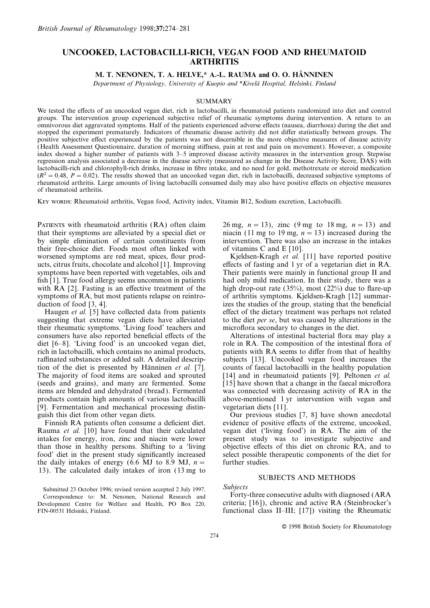# **UNCOOKED, LACTOBACILLI-RICH, VEGAN FOOD AND RHEUMATOID ARTHRITIS**

**M. T. NENONEN, T. A. HELVE,\* A.-L. RAUMA and O. O. HÄNNINEN** 

*Department of Physiology, University of Kuopio and \*Kivela¨ Hospital, Helsinki, Finland*

## **SUMMARY**

We tested the effects of an uncooked vegan diet, rich in lactobacilli, in rheumatoid patients randomized into diet and control groups. The intervention group experienced subjective relief of rheumatic symptoms during intervention. A return to an omnivorous diet aggravated symptoms. Half of the patients experienced adverse effects (nausea, diarrhoea) during the diet and stopped the experiment prematurely. Indicators of rheumatic disease activity did not differ statistically between groups. The positive subjective effect experienced by the patients was not discernible in the more objective measures of disease activity (Health Assessment Questionnaire, duration of morning stiffness, pain at rest and pain on movement). However, a composite index showed a higher number of patients with 3–5 improved disease activity measures in the intervention group. Stepwise regression analysis associated a decrease in the disease activity (measured as change in the Disease Activity Score, DAS) with lactobacilli-rich and chlorophyll-rich drinks, increase in fibre intake, and no need for gold, methotrexate or steroid medication  $(R^2 = 0.48, P = 0.02)$ . The results showed that an uncooked vegan diet, rich in lactobacilli, decreased subjective symptoms of rheumatoid arthritis. Large amounts of living lactobacilli consumed daily may also have positive effects on objective measures of rheumatoid arthritis.

KEY WORDS: Rheumatoid arthritis, Vegan food, Activity index, Vitamin B12, Sodium excretion, Lactobacilli.

PATIENTS with rheumatoid arthritis (RA) often claim 26 mg,  $n = 13$ ), zinc (9 mg to 18 mg,  $n = 13$ ) and that their symptoms are alleviated by a special diet or niacin (11 mg to 19 mg,  $n = 13$ ) increased during the their free-choice diet. Foods most often linked with of vitamins C and E [10].<br>worsened symptoms are red meat, spices, flour prod-<br>Kjeldsen-Kragh et al. [11] have reported positive worsened symptoms are red meat, spices, flour products, citrus fruits, chocolate and alcohol [1]. Improving effects of fasting and 1 yr of a vegetarian diet in RA.<br>symptoms have been reported with vegetables, oils and Their patients were mainly in functional group II and symptoms have been reported with vegetables, oils and fish [1]. True food allergy seems uncommon in patients with RA [2]. Fasting is an effective treatment of the symptoms of RA, but most patients relapse on reintro-

their rheumatic symptoms. 'Living food' teachers and microflora secondary to changes in the diet. consumers have also reported beneficial effects of the Alterations of intestinal bacterial flora may play a diet [6–8]. 'Living food' is an uncooked vegan diet, role in RA. The composition of the intestinal flora of rich in lactobacilli, which contains no animal products, patients with RA seems to differ from that of healthy raffinated substances or added salt. A detailed descrip-<br>ubjects [13]. Uncooked vegan food increases the raffinated substances or added salt. A detailed descrip-<br>tion of the diet is presented by Hänninen *et al.* [7]. counts of faecal lactobacilli in the healthy population The majority of food items are soaked and sprouted (seeds and grains), and many are fermented. Some (seeds and grains), and many are fermented. Some [15] have shown that a change in the faecal microflora<br>items are blended and dehydrated (bread). Fermented was connected with decreasing activity of RA in the items are blended and dehydrated (bread). Fermented was connected with decreasing activity of RA in the products contain high amounts of various lactobacilli above-mentioned 1 yr intervention with vegan and [9]. Fermentation and mechanical processing distin- vegetarian diets [11].

Rauma *et al.* [10] have found that their calculated vegan diet ('living food') in RA. The aim of the intakes for energy, iron, zinc and niacin were lower present study was to investigate subjective and than those in healthy persons. Shifting to a 'living objective effects of this diet on chronic RA, and to than those in healthy persons. Shifting to a 'living food' diet in the present study significantly increased the daily intakes of energy (6.6 MJ to 8.9 MJ,  $n=$ 13). The calculated daily intakes of iron (13 mg to

that their symptoms are alleviated by a special diet or niacin (11 mg to 19 mg,  $n = 13$ ) increased during the by simple elimination of certain constituents from intervention. There was also an increase in the intakes intervention. There was also an increase in the intakes

had only mild medication. In their study, there was a high drop-out rate  $(35\%)$ , most  $(22\%)$  due to flare-up of arthritis symptoms. Kjeldsen-Kragh [12] summarduction of food [3, 4].<br>Haugen *et al.* [5] have collected data from patients effect of the dietary treatment was perhaps not related Haugen *et al.* [5] have collected data from patients effect of the dietary treatment was perhaps not related suggesting that extreme vegan diets have alleviated to the diet *per se*, but was caused by alterations in the to the diet *per se*, but was caused by alterations in the

> role in RA. The composition of the intestinal flora of the diet is presented by population *f* 14] and in rheumatoid patients *f* 9]. Peltonen *et al.* above-mentioned 1 yr intervention with vegan and

guish this diet from other vegan diets.<br>
Finnish RA patients often consume a deficient diet.<br>
Unit previous studies [7, 8] have shown anecdotal<br>
Units RA patients often consume a deficient diet.<br>
Units by positive effects evidence of positive effects of the extreme, uncooked, select possible therapeutic components of the diet for further studies.

## SUBJECTS AND METHODS

Correspondence to: M. Nenonen, National Research and Forty-three consecutive adults with diagnosed (ARA evelopment Centre for Welfare and Health PO Box 220 criteria; [16]), chronic and active RA (Steinbrocker's FIN-00531 Helsinki, Finland. functional class II–III; [17]) visiting the Rheumatic

© 1998 British Society for Rheumatology

*Submitted 23 October 1996; revised version accepted 2 July 1997. Subjects*<br>Correspondence to: M. Nenopen, National Besearch and Forty-three consecutive adults with diagnosed (ARA Development Centre for Welfare and Health, PO Box 220,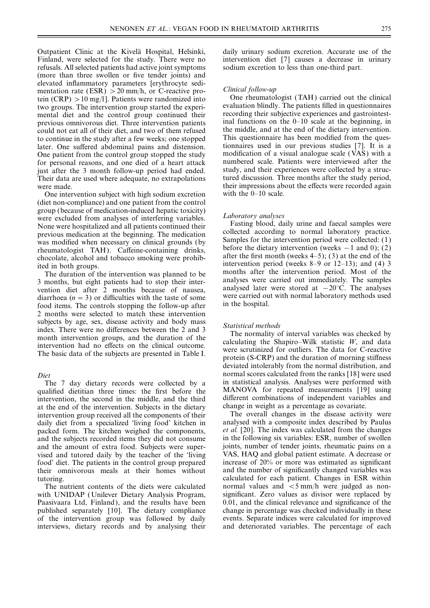Outpatient Clinic at the Kivela¨ Hospital, Helsinki, daily urinary sodium excretion. Accurate use of the Finland, were selected for the study. There were no intervention diet [7] causes a decrease in urinary refusals. All selected patients had active joint symptoms sodium excretion to less than one-third part. (more than three swollen or five tender joints) and elevated inflammatory parameters [erythrocyte sedimentation rate  $(ESR) > 20$  mm/h, or C-reactive pro-<br>tein  $(CRP) > 10$  mg/l). Patients were randomized into  $CIR$  One rheumatologist (TAH) carried out the clinical tein (CRP)  $>$  10 mg/l]. Patients were randomized into the chinical tein (CRP)  $>$  10 mg/l]. Patients were randomized into the evaluation blindly. The patients filled in questionnaires mental diet and the control group continued their recording their subjective experiences and gastrointestprevious omnivorous diet. Three intervention patients inal functions on the 0–10 scale at the beginning, in could not eat all of their diet, and two of them refused the middle, and at the end of the dietary intervention. to continue in the study after a few weeks; one stopped This questionnaire has been modified from the queslater. One suffered abdominal pains and distension. tionnaires used in our previous studies [7]. It is a One patient from the control group stopped the study modification of a visual analogue scale (VAS) with a for personal reasons, and one died of a heart attack numbered scale. Patients were interviewed after the for personal reasons, and one died of a heart attack numbered scale. Patients were interviewed after the sum interviewed after the 3 month follow-up period had ended. just after the 3 month follow-up period had ended. Study, and their experiences were collected by a struc-<br>Their data are used where adequate, no extrapolations tured discussion. Three months after the study period, Their data are used where adequate, no extrapolations

One intervention subject with high sodium excretion (diet non-compliance) and one patient from the control group (because of medication-induced hepatic toxicity)<br>
were excluded from analyses of interfering variables.<br>
None were bospitalized and all patients continued their<br>
Fasting blood, daily urine and faecal samples were None were hospitalized and all patients continued their Fasting blood, daily urine and faecal samples were<br>previous medication at the beginning. The medication collected according to normal laboratory practice. previous medication at the beginning. The medication<br>was modified when necessary on clinical grounds (by<br>rheumatologist TAH). Caffeine-containing drinks,<br>chocolate, alcohol and tobacco smoking were prohib-<br>ited in both gr

3 months, but eight patients had to stop their inter-<br>vention diet after 2 months because of nausea,<br>diarrhoea ( $n = 3$ ) or difficulties with the taste of some<br>food items. The controls stopping the follow-up after<br>the hosp food items. The controls stopping the follow-up after 2 months were selected to match these intervention subjects by age, sex, disease activity and body mass<br>index. There were no differences between the 2 and 3<br>month intervention groups, and the duration of the<br>intervention had no effects on the clinical outcome.<br>The basic d

qualified dietitian three times: the first before the intervention, the second in the middle, and the third different combinations of independent variables and at the end of the intervention. Subjects in the dietary change in weight as a percentage as covariate. at the end of the intervention. Subjects in the dietary intervention group received all the components of their The overall changes in the disease activity were daily diet from a specialized 'living food' kitchen in analysed with a composite index described by Paulus packed form. The kitchen weighed the components, *et al.* [20]. The index was calculated from the changes and the subjects recorded items they did not consume in the following six variables: ESR, number of swollen and the amount of extra food. Subjects were super- joints, number of tender joints, rheumatic pains on a vised and tutored daily by the teacher of the 'living VAS, HAQ and global patient estimate. A decrease or food' diet. The patients in the control group prepared increase of 20% or more was estimated as significant food' diet. The patients in the control group prepared increase of 20% or more was estimated as significant their omnivorous meals at their homes without and the number of significantly changed variables was their omnivorous meals at their homes without tutoring. calculated for each patient. Changes in ESR within

with UNIDAP (Unilever Dietary Analysis Program, significant. Zero values as divisor were replaced by<br>Paasivaara Ltd. Finland), and the results have been 0.01, and the clinical relevance and significance of the Paasivaara Ltd, Finland), and the results have been 0.01, and the clinical relevance and significance of the published separately [10]. The dietary compliance change in percentage was checked individually in these published separately [10]. The dietary compliance of the intervention group was followed by daily events. Separate indices were calculated for improved interviews, dietary records and by analysing their and deteriorated variables. The percentage of each

were made.<br>One intervention subject with high sodium excretion with the  $0-10$  scale.

The duration of the intervention was planned to be months after the intervention period. Most of the months but eight patients had to stop their inter-<br>malyses were carried out immediately. The samples

deviated intolerably from the normal distribution, and *Diet* normal scores calculated from the ranks [18] were used The 7 day dietary records were collected by a in statistical analysis. Analyses were performed with relation three times: the first before the MANOVA for repeated measurements [19] using

The nutrient contents of the diets were calculated normal values and <5 mm/h were judged as non-<br>th UNIDAP (Unilever Dietary Analysis Program. significant. Zero values as divisor were replaced by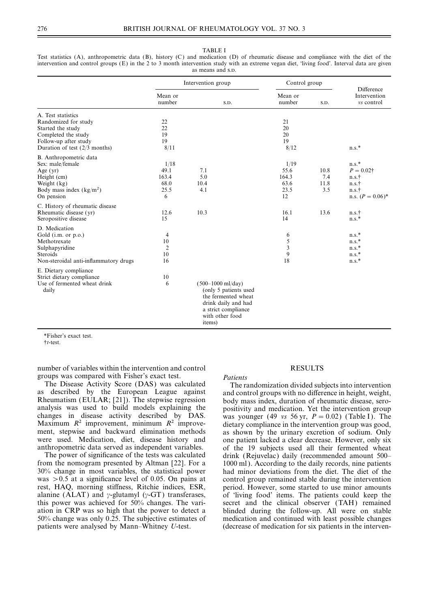|                                         | Difference<br>Intervention<br>vs control |
|-----------------------------------------|------------------------------------------|
| A. Test statistics                      |                                          |
| Randomized for study                    |                                          |
| Started the study                       |                                          |
| Completed the study                     |                                          |
| Follow-up after study                   |                                          |
| Duration of test $(2/3 \text{ months})$ | $n.s.$ *                                 |
| B. Anthropometric data                  |                                          |
| Sex: male/female                        | $n.s.$ *                                 |
| Age $(yr)$                              | $P = 0.02$ †                             |
| Height (cm)                             | n.s.†                                    |
| Weight (kg)                             | n.s.†                                    |
| Body mass index $(kg/m2)$               | n.s.†                                    |
| On pension                              | n.s. $(P = 0.06)^*$                      |
| C. History of rheumatic disease         |                                          |
| Rheumatic disease (yr)                  | n.s.†                                    |
| Seropositive disease                    | $n.s.$ *                                 |
| D. Medication                           |                                          |
| Gold (i.m. or p.o.)                     | $n.s.$ *                                 |
| Methotrexate                            | $n.s.*$                                  |
| Sulphapyridine                          | $n.s.$ *                                 |
| Steroids                                | $n.s.$ *                                 |
| Non-steroidal anti-inflammatory drugs   | $n.s.$ *                                 |
| E. Dietary compliance                   |                                          |
| Strict dietary compliance               |                                          |
| Use of fermented wheat drink<br>daily   |                                          |
|                                         |                                          |

TABLE I Test statistics (A), anthropometric data (B), history (C) and medication (D) of rheumatic disease and compliance with the diet of the intervention and control groups (E) in the 2 to 3 month intervention study with an extreme vegan diet, 'living food'. Interval data are given as means and s.p.

\*Fisher's exact test.

†*t*-test.

number of variables within the intervention and control RESULTS groups was compared with Fisher's exact test. *Patients*

The Disease Activity Score (DAS) was calculated<br>as described by the European League against and control groups with no difference in height, weight,<br>Rheumatism (EULAR; [21]). The stepwise regression body mass index, durati analysis was used to build models explaining the positivity and medication. Yet the intervention group changes in disease activity described by DAS. was vounger (49 vs 56 vr  $P = 0.02$ ) (Table I). The changes in disease activity described by DAS. was younger (49 *vs* 56 yr,  $P = 0.02$ ) (Table I). The Maximum  $R^2$  improvement, minimum  $R^2$  improve-<br>dietary compliance in the intervention group was good. Maximum  $R^2$  improvement, minimum  $R^2$  improve-<br>ment, stepwise and backward elimination methods as shown by the urinary excretion of sodium Only ment, stepwise and backward elimination methods as shown by the urinary excretion of sodium. Only were used. Medication, diet, disease history and one patient lacked a clear decrease. However, only six were used. Medication, diet, disease history and one patient lacked a clear decrease. However, only six anthropometric data served as independent variables. of the 19 subjects used all their fermented wheat

from the nomogram presented by Altman [22]. For a 1000 ml). According to the daily records, nine patients 30% change in most variables, the statistical power had minor deviations from the diet. The diet of the was  $>0.5$  at a significance level of 0.05. On pains at control group remained stable during the intervention rest, HAQ, morning stiffness, Ritchie indices, ESR, period. However, some started to use minor amounts rest, HAQ, morning stiffness, Ritchie indices, ESR, period. However, some started to use minor amounts alanine (ALAT) and  $\gamma$ -glutamyl ( $\gamma$ -GT) transferases, of 'living food' items. The patients could keep the alanine (ALAT) and  $\gamma$ -glutamyl ( $\gamma$ -GT) transferases, of 'living food' items. The patients could keep the this power was achieved for 50% changes. The variation in CRP was so high that the power to detect a blinded during the follow-up. All were on stable 50% change was only 0.25. The subjective estimates of medication and continued with least possible changes  $50\%$  change was only 0.25. The subjective estimates of patients were analysed by Mann–Whitney *U*-test. (decrease of medication for six patients in the interven-

thropometric data served as independent variables. of the 19 subjects used all their fermented wheat<br>The power of significance of the tests was calculated drink (Reiuvelac) daily (recommended amount 500– drink (Rejuvelac) daily (recommended amount 500– secret and the clinical observer (TAH) remained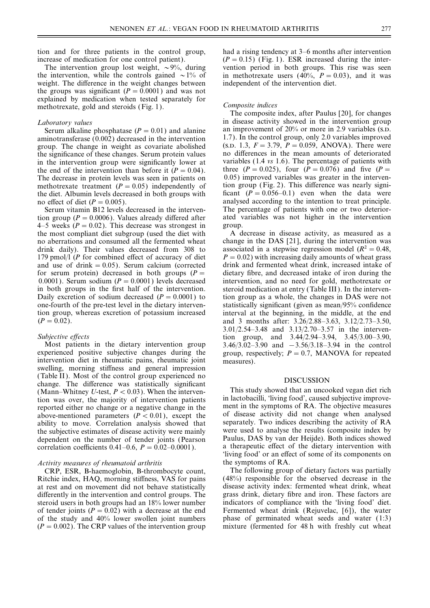weight. The difference in the weight changes between independent of the intervention diet. the groups was significant  $(P = 0.0001)$  and was not explained by medication when tested separately for methotrexate, gold and steroids (Fig. 1). *Composite indices*

aminotransferase (0.002) decreased in the intervention group. The change in weight as covariate abolished (S.D. 1.3,  $F = 3.79$ ,  $P = 0.059$ , ANOVA). There were the significance of these changes. Serum protein values in the mean amounts of deteriorated in the intervention group were significantly lower at variables  $(1.4 \text{ vs } 1.6)$ . The percentage of patients with in the intervention group were significantly lower at the end of the intervention than before it  $(P = 0.04)$ . three  $(P = 0.025)$ , four  $(P = 0.076)$  and five  $(P =$ <br>The decrease in protein levels was seen in patients on 0.05) improved variables was greater in the interven-The decrease in protein levels was seen in patients on methotrexate treatment  $(P = 0.05)$  independently of tion group (Fig. 2). This difference was nearly signithe diet. Albumin levels decreased in both groups with ficant  $(P = 0.056-0.1)$  even when the data were no effect of diet  $(P = 0.005)$ . analysed according to the intention to treat principle.

tion group ( $P = 0.0006$ ). Values already differed after ated variables was not higher in the intervention  $4-5$  weeks ( $P = 0.02$ ). This decrease was strongest in group.<br>the most compliant diet subgroup (used the diet with A decrease in disease activity, as measured as a the most compliant diet subgroup (used the diet with no aberrations and consumed all the fermented wheat change in the DAS [21], during the intervention was drink daily). Their values decreased from 308 to associated in a stepwise regression model ( $R^2 = 0.48$ , 179 pmol/l (*P* for combined effect of accuracy of diet  $P = 0.02$ ) with increasing daily amounts of wheat grass 179 pmol/l (*P* for combined effect of accuracy of diet  $P = 0.02$ ) with increasing daily amounts of wheat grass and use of drink = 0.05). Serum calcium (corrected drink and fermented wheat drink, increased intake of and use of drink = 0.05). Serum calcium (corrected drink and fermented wheat drink, increased intake of for serum protein) decreased in both groups  $(P =$  dietary fibre, and decreased intake of iron during the 0.0001). Serum sodium  $(P = 0.0001)$  levels decreased intervention, and no need for gold, methotrexate or in both groups in the first half of the intervention. steroid medication at entry (Table III). In the interven-Daily excretion of sodium decreased  $(P = 0.0001)$  to tion group as a whole, the changes in DAS were not one-fourth of the pre-test level in the dietary interven- statistically significant (given as mean/95% confidence tion group, whereas excretion of potassium increased interval at the beginning, in the middle, at the end (*P*= 0.02). and 3 months after: 3.26/2.88–3.63, 3.12/2.73–3.50,

intervention diet in rheumatic pains, rheumatic joint measures). swelling, morning stiffness and general impression (Table II). Most of the control group experienced no<br>
change. The difference was statistically significant<br>
(Mann-Whitney *I*-test  $P < 0.03$ ) When the interven-<br>
This study showed that an uncooked vegan diet rich (Mann–Whitney *U*-test,  $P < 0.03$ ). When the interven-<br>tion was over the majority of intervention patients in lactobacilli, 'living food', caused subjective improvetion was over, the majority of intervention patients in lactobacilli, 'living food', caused subjective improve-<br>reported either no change or a negative change in the symptoms of RA. The objective measures<br>above-mentioned above-mentioned parameters  $(P < 0.01)$ , except the ability to move. Correlation analysis showed that separately. Two indices describing the activity of RA the subjective estimates of disease activity were mainly were used to analyse the results (composite index by dependent on the number of tender joints (Pearson Paulus, DAS by van der Heijde). Both indices showed correlation coefficients  $0.41-0.6$ ,  $P = 0.02-0.0001$ ). a therapeutic effect of the dietary intervention with

CRP, ESR, B-haemoglobin, B-thrombocyte count, Ritchie index, HAQ, morning stiffness, VAS for pains (48%) responsible for the observed decrease in the at rest and on movement did not behave statistically disease activity index: fermented wheat drink, wheat at rest and on movement did not behave statistically disease activity index: fermented wheat drink, wheat differently in the intervention and control groups. The grass drink, dietary fibre and iron. These factors are differently in the intervention and control groups. The steroid users in both groups had an 18% lower number indicators of compliance with the 'living food' diet.<br>of tender ioints  $(P = 0.02)$  with a decrease at the end Fermented wheat drink (Reiuvelac, [6]), the water of tender joints ( $P = 0.02$ ) with a decrease at the end of the study and 40% lower swollen joint numbers  $(P = 0.002)$ . The CRP values of the intervention group mixture (fermented for 48 h with freshly cut wheat

tion and for three patients in the control group, had a rising tendency at 3–6 months after intervention increase of medication for one control patient). ( $P = 0.15$ ) (Fig. 1). ESR increased during the inter-<br>The intervention group lost weight,  $\sim 9\%$ , during vention period in both groups. This rise was seen The intervention group lost weight,  $\sim 9\%$ , during vention period in both groups. This rise was seen the intervention, while the controls gained  $\sim 1\%$  of in methotrexate users (40%,  $P = 0.03$ ), and it was in methotrexate users (40%,  $P = 0.03$ ), and it was

The composite index, after Paulus [20], for changes *Laboratory values* in disease activity showed in the intervention group Serum alkaline phosphatase ( $P = 0.01$ ) and alanine an improvement of 20% or more in 2.9 variables (s.p. ninotransferase (0.002) decreased in the intervention 1.7). In the control group, only 2.0 variables improved Serum vitamin B12 levels decreased in the interven- The percentage of patients with one or two deterior-

dietary fibre, and decreased intake of iron during the 3.01/2.54–3.48 and 3.13/2.70–3.57 in the interven-*Subjective effects*<br>Most patients in the dietary intervention group 3.46/3.02–3.90 and -3.56/3.18–3.94 in the control Most patients in the dietary intervention group  $3.46/3.02-3.90$  and  $-3.56/3.18-3.94$  in the control experienced positive subjective changes during the group respectively;  $P = 0.7$ , MANOVA for repeated group, respectively;  $P = 0.7$ , MANOVA for repeated

were used to analyse the results (composite index by 'living food' or an effect of some of its components on

*Activity measures of rheumatoid arthritis*<br> **EXPACTE:** The following group of dietary factors was partially<br> **EXPACTE:** The following group of dietary factors was partially phase of germinated wheat seeds and water  $(1:3)$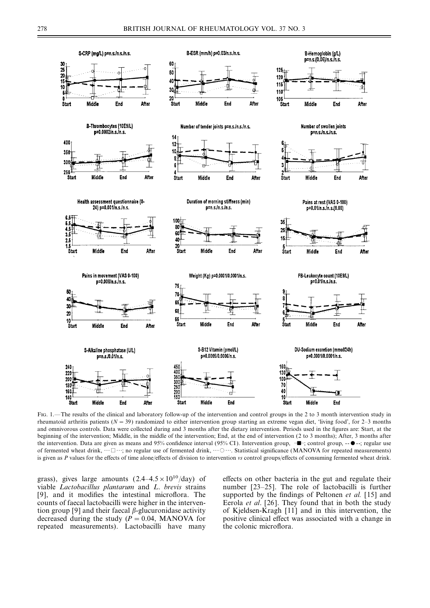

FIG. 1.—The results of the clinical and laboratory follow-up of the intervention and control groups in the 2 to 3 month intervention study in rheumatoid arthritis patients ( $N = 39$ ) randomized to either intervention group starting an extreme vegan diet, 'living food', for 2–3 months and omnivorous controls. Data were collected during and 3 months after the dietary intervention. Periods used in the figures are: Start, at the beginning of the intervention; Middle, in the middle of the intervention; End, at the end of intervention (2 to 3 months); After, 3 months after the intervention. Data are given as means and 95% confidence interval (95% CI). Intervention group,  $-\blacksquare$ ; control group,  $-\blacksquare$ ; regular use of fermented wheat drink,  $\cdots \Box \cdots$ ; no regular use of fermented drink,  $\cdots \bigcirc \cdots$ . Statistical significance (MANOVA for repeated measurements) is given as *P* values for the effects of time alone/effects of division to intervention *vs* control groups/effects of consuming fermented wheat drink.

grass), gives large amounts  $(2.4-4.5\times10^{10}/day)$  of effects on other bacteria in the gut and regulate their viable *Lactobacillus plantarum* and *L. brevis* strains number [23–25]. The role of lactobacilli is further viable *Lactobacillus plantarum* and *L*. *brevis* strains number [23–25]. The role of lactobacilli is further counts of faecal lactobacilli were higher in the interven-<br>tion group [9] and their faecal *β*-glucuronidase activity of Kjeldsen-Kragh [11] and in this intervention, the decreased during the study  $(P = 0.04, MANOVA$  for positive clinical effect was associated with a change in repeated measurements). Lactobacilli have many the colonic microflora.

supported by the findings of Peltonen *et al.* [15] and of Kjeldsen-Kragh [11] and in this intervention, the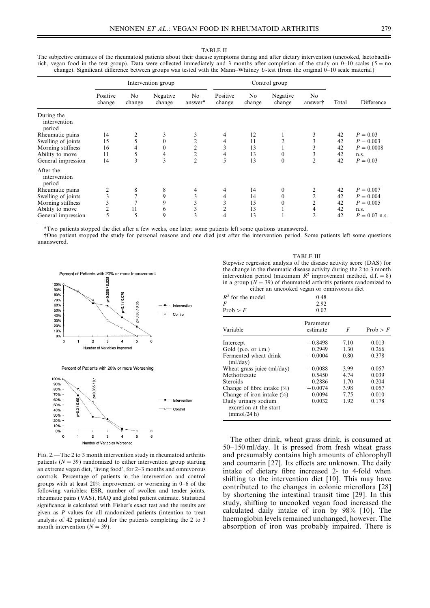Intervention group Control group Positive No Negative No Positive No Negative No change change change answer\* change change change answer† Total Difference During the intervention period **Rheumatic pains** 14 2 3 3 4 12 1 3 42  $P = 0.03$ <br> **Swelling of joints** 15 5 0 2 4 11 2 3 42  $P = 0.003$ <br> **Morning stiffness** 16 4 0 2 3 13 1 3 42  $P = 0.0003$ Swelling of joints 15 5 0 2 4 11 2 3 42  $P = 0.003$ <br>
Morning stiffness 16 4 0 2 3 13 1 3 42  $P = 0.0008$ Morning stiffness 16 4 0 2 3 13 1 3 42  $P =$ <br>Ability to move 11 5 4 2 4 13 0 3 42 n.s. Ability to move  $\begin{array}{ccccccccccccc}\n11 & 5 & 4 & 2 & 4 & 13 & 0 & 3 & 42 & n.s.\n\end{array}$  General impression  $\begin{array}{ccccccccccccc}\n14 & 3 & 3 & 2 & 5 & 13 & 0 & 2 & 42 & P = 0.03\n\end{array}$ General impression 14 3 3 2 5 13 0 2 42  $P = 0.03$ After the intervention period **Rheumatic pains** 2 8 8 4 4 14 0 2 42  $P = 0.007$ <br> **Swelling of joints** 3 7 9 3 4 14 0 2 42  $P = 0.004$ Swelling of joints 3 7 9 3 4 14 0 2 42  $P = 0.004$ <br>Morning stiffness 3 7 9 3 3 15 0 2 42  $P = 0.005$ Morning stiffness 3 7 9 3 3 15 0 2 42<br>Ability to move 2 11 6 3 2 13 1 4 42 Ability to move  $\begin{array}{cccccccc} 2 & 11 & 6 & 3 & 2 & 13 & 1 & 4 & 42 & \text{n.s.} \\ 1 & 6 & 3 & 2 & 13 & 1 & 4 & 42 & \text{n.s.} \\ 1 & 1 & 1 & 1 & 1 & 4 & 42 & \text{n.s.} \\ 1 & 1 & 1 & 1 & 1 & 1 & 4 & 42 & \text{n.s.} \\ 1 & 1 & 1 & 1 & 1 & 1 & 1 & 1 \end{array}$ General impression 5 5 9 3 4 13 1 2 42  $P = 0.07$  n.s.

The subjective estimates of the rheumatoid patients about their disease symptoms during and after dietary intervention (uncooked, lactobacillirich, vegan food in the test group). Data were collected immediately and 3 months after completion of the study on  $0-10$  scales ( $5=$  no change). Significant difference between groups was tested with the Mann–Whitney *U*-test (from the original 0–10 scale material )

\*Two patients stopped the diet after a few weeks, one later; some patients left some qustions unanswered.

†One patient stopped the study for personal reasons and one died just after the intervention period. Some patients left some questions unanswered.



analysis of 42 patients) and for the patients completing the 2 to 3

 $\overline{a}$ 

5

6

0%  $\overline{\mathbf{0}}$ 

 $\overline{1}$ 

 $\overline{2}$ 

 $\overline{3}$ 

Number of Variables Worsener

TABLE III Stepwise regression analysis of the disease activity score (DAS) for the change in the rheumatic disease activity during the 2 to 3 month intervention period (maximum  $R^2$  improvement method, d.f. = 8) in a group ( $\overline{N}$  = 39) of rheumatoid arthritis patients randomized to either an uncooked vegan or omnivorous diet

| $R^2$ for the model<br>F<br>Prob > F                          | 0.48<br>2.92<br>0.02  |      |               |
|---------------------------------------------------------------|-----------------------|------|---------------|
| Variable                                                      | Parameter<br>estimate | F    | Prob $\geq F$ |
| Intercept                                                     | $-0.8498$             | 7.10 | 0.013         |
| Gold $(p.o. or i.m.)$                                         | 0.2949                | 1.30 | 0.266         |
| Fermented wheat drink<br>(ml/day)                             | $-0.0004$             | 0.80 | 0.378         |
| Wheat grass juice (ml/day)                                    | $-0.0088$             | 3.99 | 0.057         |
| Methotrexate                                                  | 0.5450                | 4.74 | 0.039         |
| Steroids                                                      | 0.2886                | 1.70 | 0.204         |
| Change of fibre intake $(\% )$                                | $-0.0074$             | 3.98 | 0.057         |
| Change of iron intake $(\% )$                                 | 0.0094                | 7.75 | 0.010         |
| Daily urinary sodium<br>excretion at the start<br>(mmol/24 h) | 0.0032                | 1.92 | 0.178         |

The other drink, wheat grass drink, is consumed at 50–150 ml/day. It is pressed from fresh wheat grass Fig. 2.—The 2 to 3 month intervention study in rheumatoid arthritis and presumably contains high amounts of chlorophyll patients  $(N = 39)$  randomized to either intervention group starting and coumarin [27]. Its effects are unknown. The daily intake of dietary fibre increased 2- to 4-fold when an extreme vegan diet, 'living food', for 2–3 months and omnivorous<br>controls. Percentage of patients in the intervention and control<br>groups with at least 20% improvement or worsening in 0–6 of the<br>following variables: ESR, significance is calculated with Fisher's exact test and the results are<br>given as *P* values for all randomized patients (intention to treat calculated daily intake of iron by 98% [10]. The<br>analysis of 42 patients) and for month intervention ( $N = 39$ ). absorption of iron was probably impaired. There is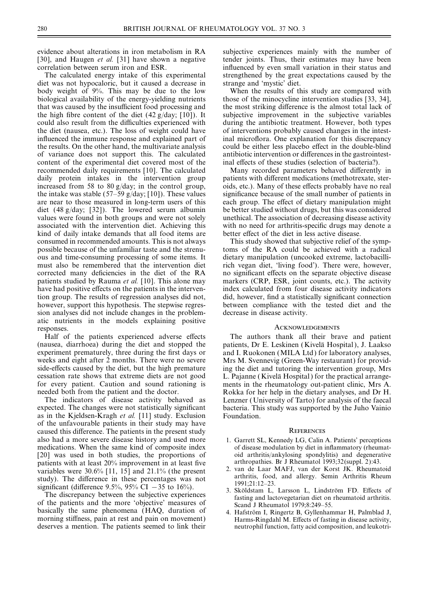[30], and Haugen *et al.* [31] have shown a negative tender joints. Thus, their estimates may have been correlation between serum iron and ESR. influenced by even small variation in their status and

diet was not hypocaloric, but it caused a decrease in strange and 'mystic' diet. body weight of 9%. This may be due to the low When the results of this study are compared with biological availability of the energy-vielding nutrients those of the minocycline intervention studies [33, 34]. that was caused by the insufficient food processing and the most striking difference is the almost total lack of the high fibre content of the diet  $(42 g/day; [10])$ . It subjective improvement in the subjective variables could also result from the difficulties experienced with during the antibiotic treatment. However, both types the diet (nausea, etc.). The loss of weight could have of interventions probably caused changes in the intestinfluenced the immune response and explained part of inal microflora. One explanation for this discrepancy the results. On the other hand, the multivariate analysis could be either less placebo effect in the double-blind of variance does not support this. The calculated antibiotic intervention or differences in the gastrointestcontent of the experimental diet covered most of the inal effects of these studies (selection of bacteria?). recommended daily requirements [10]. The calculated Many recorded parameters behaved differently in daily protein intakes in the intervention group patients with different medications (methotrexate, sterincreased from 58 to 80 g/day; in the control group, oids, etc.). Many of these effects probably have no real the intake was stable (57–59 g/day; [10]). These values significance because of the small number of patients in are near to those measured in long-term users of this each group. The effect of dietary manipulation might diet (48 g/day; [32]). The lowered serum albumin be better studied without drugs, but this was considered values were found in both groups and were not solely unethical. The association of decreasing disease activity associated with the intervention diet. Achieving this with no need for arthritis-specific drugs may denote a kind of daily intake demands that all food items are better effect of the diet in less active disease. consumed in recommended amounts. This is not always This study showed that subjective relief of the symppossible because of the unfamiliar taste and the strenu- toms of the RA could be achieved with a radical ous and time-consuming processing of some items. It dietary manipulation (uncooked extreme, lactobacillicorrected many deficiencies in the diet of the RA no significant effects on the separate objective disease patients studied by Rauma *et al.* [10]. This alone may markers (CRP, ESR, joint counts, etc.). The activity have had positive effects on the patients in the interven-<br>index calculated from four disease activity indicators tion group. The results of regression analyses did not, did, however, find a statistically significant connection however, support this hypothesis. The stepwise regres-<br>between compliance with the tested diet and the sion analyses did not include changes in the problem- decrease in disease activity. atic nutrients in the models explaining positive

Half of the patients experienced adverse effects The authors thank all their brave and patient (nausea, diarrhoea) during the diet and stopped the patients, Dr E. Leskinen (Kivelä Hospital), J. Laakso experiment prematurely, three during the first days or and I. Ruokonen (MILA Ltd) for laboratory analyses. experiment prematurely, three during the first days or and I. Ruokonen (MILA Ltd) for laboratory analyses, weeks and eight after 2 months. There were no severe Mrs M. Svennevig (Green-Way restaurant) for providside-effects caused by the diet, but the high premature ing the diet and tutoring the intervention group, Mrs cessation rate shows that extreme diets are not good L. Pajanne ( Kivela¨ Hospital ) for the practical arrangefor every patient. Caution and sound rationing is ments in the rheumatology out-patient clinic, Mrs A.

as in the Kjeldsen-Kragh *et al.* [11] study. Exclusion Foundation. of the unfavourable patients in their study may have caused this difference. The patients in the present study REFERENCES also had a more severe disease history and used more 1. Garrett SL, Kennedy LG, Calin A. Patients' perceptions medications. When the same kind of composite index of disease modulation by diet in inflammatory (rheumatmedications. When the same kind of composite index  $\theta$ [20] was used in both studies, the proportions of oid arthritis/ankylosing spondylitis) and degenerative patients with at least 20% improvement in at least five arthropathies. Br J Rheumatol 1993;32(suppl. 2):43. patients with at least 20% improvement in at least five arthropathies. Br J Rheumatol 1993;32(suppl. 2):43.<br>
variables were 30.6% [11 | 15] and 21.1% (the present 2. van de Laar MAFJ, van der Korst JK. Rheumatoid

variables were 30.6% [11, 15] and 21.1% (the present study). The difference in these percentages was not<br>significant (difference 9.5%, 95% CI -35 to 16%).<br>The discrepancy between the subjective experiences<br>of the patients basically the same phenomena (HAQ, duration of 4. Hafström I, Ringertz B, Gyllenhammar H, Palmblad J, morning stiffness, pain at rest and pain on movement) Harms-Ringdahl M. Effects of fasting in disease activity, deserves a mention. The patients seemed to link their neutrophil function, fatty acid composition, and leukotri-

evidence about alterations in iron metabolism in RA subjective experiences mainly with the number of The calculated energy intake of this experimental strengthened by the great expectations caused by the

those of the minocycline intervention studies [33, 34],

rich vegan diet, 'living food'). There were, however,

### **ACKNOWLEDGEMENTS**

Mrs M. Svennevig (Green-Way restaurant) for providneeded both from the patient and the doctor. Rokka for her help in the dietary analyses, and Dr H. The indicators of disease activity behaved as Lenzner (University of Tarto) for analysis of the faecal expected. The changes were not statistically significant bacteria. This study was supported by the Juho Vainio bacteria. This study was supported by the Juho Vainio

- 
- 
- 
-